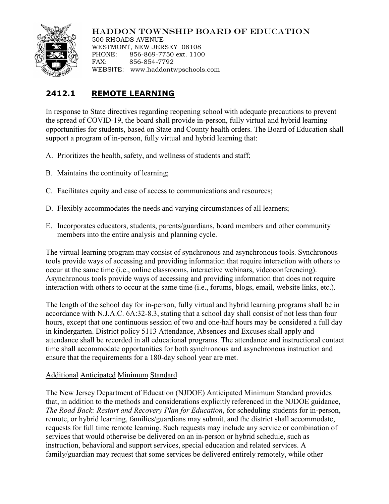

## HADDON TOWNSHIP BOARD OF EDUCATION

500 RHOADS AVENUE WESTMONT, NEW JERSEY 08108 PHONE: 856-869-7750 ext. 1100 FAX: 856-854-7792 WEBSITE: www.haddontwpschools.com

# **2412.1 REMOTE LEARNING**

In response to State directives regarding reopening school with adequate precautions to prevent the spread of COVID-19, the board shall provide in-person, fully virtual and hybrid learning opportunities for students, based on State and County health orders. The Board of Education shall support a program of in-person, fully virtual and hybrid learning that:

- A. Prioritizes the health, safety, and wellness of students and staff;
- B. Maintains the continuity of learning;
- C. Facilitates equity and ease of access to communications and resources;
- D. Flexibly accommodates the needs and varying circumstances of all learners;
- E. Incorporates educators, students, parents/guardians, board members and other community members into the entire analysis and planning cycle.

The virtual learning program may consist of synchronous and asynchronous tools. Synchronous tools provide ways of accessing and providing information that require interaction with others to occur at the same time (i.e., online classrooms, interactive webinars, videoconferencing). Asynchronous tools provide ways of accessing and providing information that does not require interaction with others to occur at the same time (i.e., forums, blogs, email, website links, etc.).

The length of the school day for in-person, fully virtual and hybrid learning programs shall be in accordance with N.J.A.C. 6A:32-8.3, stating that a school day shall consist of not less than four hours, except that one continuous session of two and one-half hours may be considered a full day in kindergarten. District policy 5113 Attendance, Absences and Excuses shall apply and attendance shall be recorded in all educational programs. The attendance and instructional contact time shall accommodate opportunities for both synchronous and asynchronous instruction and ensure that the requirements for a 180-day school year are met.

### Additional Anticipated Minimum Standard

The New Jersey Department of Education (NJDOE) Anticipated Minimum Standard provides that, in addition to the methods and considerations explicitly referenced in the NJDOE guidance, *The Road Back: Restart and Recovery Plan for Education*, for scheduling students for in-person, remote, or hybrid learning, families/guardians may submit, and the district shall accommodate, requests for full time remote learning. Such requests may include any service or combination of services that would otherwise be delivered on an in-person or hybrid schedule, such as instruction, behavioral and support services, special education and related services. A family/guardian may request that some services be delivered entirely remotely, while other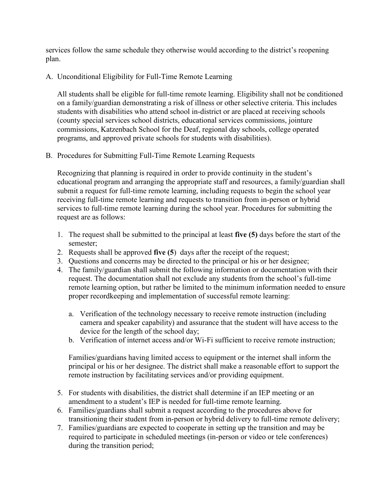services follow the same schedule they otherwise would according to the district's reopening plan.

### A. Unconditional Eligibility for Full-Time Remote Learning

All students shall be eligible for full-time remote learning. Eligibility shall not be conditioned on a family/guardian demonstrating a risk of illness or other selective criteria. This includes students with disabilities who attend school in-district or are placed at receiving schools (county special services school districts, educational services commissions, jointure commissions, Katzenbach School for the Deaf, regional day schools, college operated programs, and approved private schools for students with disabilities).

B. Procedures for Submitting Full-Time Remote Learning Requests

Recognizing that planning is required in order to provide continuity in the student's educational program and arranging the appropriate staff and resources, a family/guardian shall submit a request for full-time remote learning, including requests to begin the school year receiving full-time remote learning and requests to transition from in-person or hybrid services to full-time remote learning during the school year. Procedures for submitting the request are as follows:

- 1. The request shall be submitted to the principal at least **five (5)** days before the start of the semester;
- 2. Requests shall be approved **five (5**) days after the receipt of the request;
- 3. Questions and concerns may be directed to the principal or his or her designee;
- 4. The family/guardian shall submit the following information or documentation with their request. The documentation shall not exclude any students from the school's full-time remote learning option, but rather be limited to the minimum information needed to ensure proper recordkeeping and implementation of successful remote learning:
	- a. Verification of the technology necessary to receive remote instruction (including camera and speaker capability) and assurance that the student will have access to the device for the length of the school day;
	- b. Verification of internet access and/or Wi-Fi sufficient to receive remote instruction;

Families/guardians having limited access to equipment or the internet shall inform the principal or his or her designee. The district shall make a reasonable effort to support the remote instruction by facilitating services and/or providing equipment.

- 5. For students with disabilities, the district shall determine if an IEP meeting or an amendment to a student's IEP is needed for full-time remote learning.
- 6. Families/guardians shall submit a request according to the procedures above for transitioning their student from in-person or hybrid delivery to full-time remote delivery;
- 7. Families/guardians are expected to cooperate in setting up the transition and may be required to participate in scheduled meetings (in-person or video or tele conferences) during the transition period;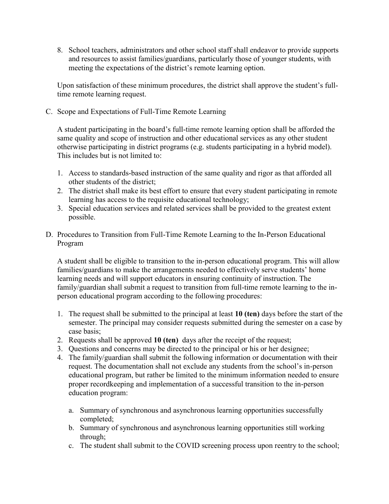8. School teachers, administrators and other school staff shall endeavor to provide supports and resources to assist families/guardians, particularly those of younger students, with meeting the expectations of the district's remote learning option.

Upon satisfaction of these minimum procedures, the district shall approve the student's fulltime remote learning request.

C. Scope and Expectations of Full-Time Remote Learning

A student participating in the board's full-time remote learning option shall be afforded the same quality and scope of instruction and other educational services as any other student otherwise participating in district programs (e.g. students participating in a hybrid model). This includes but is not limited to:

- 1. Access to standards-based instruction of the same quality and rigor as that afforded all other students of the district;
- 2. The district shall make its best effort to ensure that every student participating in remote learning has access to the requisite educational technology;
- 3. Special education services and related services shall be provided to the greatest extent possible.
- D. Procedures to Transition from Full-Time Remote Learning to the In-Person Educational Program

A student shall be eligible to transition to the in-person educational program. This will allow families/guardians to make the arrangements needed to effectively serve students' home learning needs and will support educators in ensuring continuity of instruction. The family/guardian shall submit a request to transition from full-time remote learning to the inperson educational program according to the following procedures:

- 1. The request shall be submitted to the principal at least **10 (ten)** days before the start of the semester. The principal may consider requests submitted during the semester on a case by case basis;
- 2. Requests shall be approved **10 (ten)** days after the receipt of the request;
- 3. Questions and concerns may be directed to the principal or his or her designee;
- 4. The family/guardian shall submit the following information or documentation with their request. The documentation shall not exclude any students from the school's in-person educational program, but rather be limited to the minimum information needed to ensure proper recordkeeping and implementation of a successful transition to the in-person education program:
	- a. Summary of synchronous and asynchronous learning opportunities successfully completed;
	- b. Summary of synchronous and asynchronous learning opportunities still working through;
	- c. The student shall submit to the COVID screening process upon reentry to the school;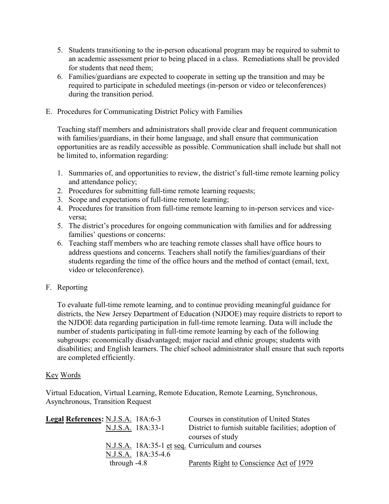- 5. Students transitioning to the in-person educational program may be required to submit to an academic assessment prior to being placed in a class. Remediations shall be provided for students that need them;
- 6. Families/guardians are expected to cooperate in setting up the transition and may be required to participate in scheduled meetings (in-person or video or teleconferences) during the transition period.
- E. Procedures for Communicating District Policy with Families

Teaching staff members and administrators shall provide clear and frequent communication with families/guardians, in their home language, and shall ensure that communication opportunities are as readily accessible as possible. Communication shall include but shall not be limited to, information regarding:

- 1. Summaries of, and opportunities to review, the district's full-time remote learning policy and attendance policy;
- 2. Procedures for submitting full-time remote learning requests;
- 3. Scope and expectations of full-time remote learning;
- 4. Procedures for transition from full-time remote learning to in-person services and viceversa;
- 5. The district's procedures for ongoing communication with families and for addressing families' questions or concerns:
- 6. Teaching staff members who are teaching remote classes shall have office hours to address questions and concerns. Teachers shall notify the families/guardians of their students regarding the time of the office hours and the method of contact (email, text, video or teleconference).
- F. Reporting

To evaluate full-time remote learning, and to continue providing meaningful guidance for districts, the New Jersey Department of Education (NJDOE) may require districts to report to the NJDOE data regarding participation in full-time remote learning. Data will include the number of students participating in full-time remote learning by each of the following subgroups: economically disadvantaged; major racial and ethnic groups; students with disabilities; and English learners. The chief school administrator shall ensure that such reports are completed efficiently.

### Key Words

Virtual Education, Virtual Learning, Remote Education, Remote Learning, Synchronous, Asynchronous, Transition Request

| Legal References: N.J.S.A. 18A:6-3 |                     | Courses in constitution of United States             |
|------------------------------------|---------------------|------------------------------------------------------|
|                                    | N.J.S.A. 18A:33-1   | District to furnish suitable facilities; adoption of |
|                                    |                     | courses of study                                     |
|                                    |                     | N.J.S.A. 18A:35-1 et seq. Curriculum and courses     |
|                                    | N.J.S.A. 18A:35-4.6 |                                                      |
| through $-4.8$                     |                     | Parents Right to Conscience Act of 1979              |